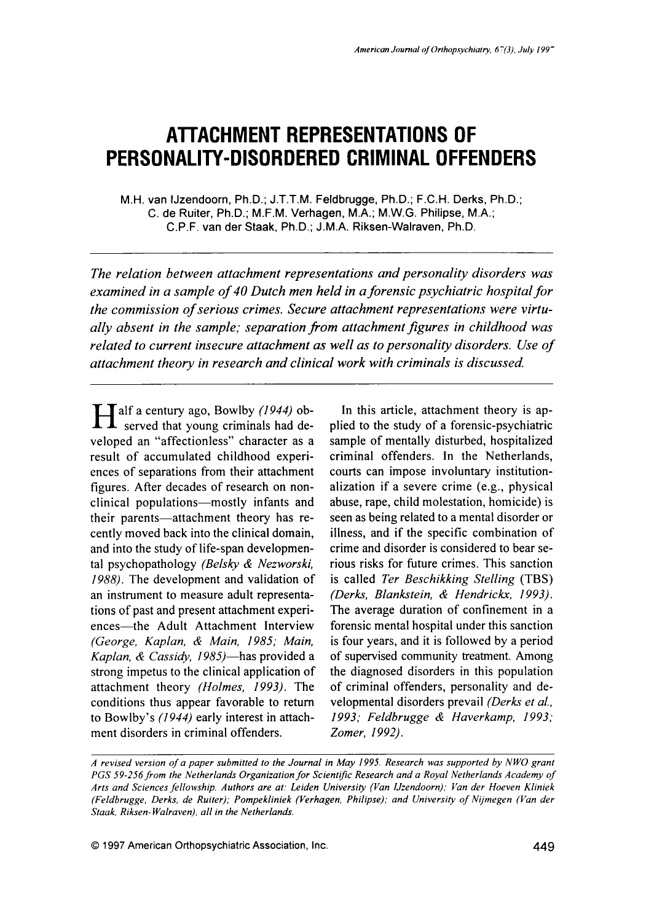# **ATTACHMENT REPRESENTATIONS OF PERSONALITY-DISORDERED CRIMINAL OFFENDERS**

M.H. van IJzendoorn, Ph.D.; J.T.T.M. Feldbrugge, Ph.D.; F.C.H. Derks, Ph.D.; C. de Ruiter, Ph.D.; M.F.M. Verhagen, M.A.; M.W.G. Philipse, M.A.; C.P.F. van der Staak, Ph.D.; J.M.A. Riksen-Walraven, Ph.D.

*The relation between attachment representations and personality disorders was examined in a sample of 40 Dutch men held in a forensic psychiatric hospital for the commission of serious crimes. Secure attachment representations were virtually absent in the sample; separation from attachment figures in childhood was related to current insecure attachment as well as to personality disorders. Use of attachment theory in research and clinical work with criminals is discussed.* 

 $\prod$  alf a century ago, Bowlby (1944) ob-<br>served that young criminals had developed an "affectionless" character as a result of accumulated childhood experiences of separations from their attachment figures. After decades of research on nonclinical populations-mostly infants and their parents-attachment theory has recently moved back into the clinical domain, and into the study of life-span developmental psychopathology *(Belsky* & *Nezworski,*  1988). The development and validation of an instrument to measure adult representations of past and present attachment experiences-the Adult Attachment Interview *(George, Kaplan,* & *Main,* 1985; *Main, Kaplan,* & *Cassidy,* I985)-has provided a strong impetus to the clinical application of attachment theory *(Holmes,* 1993). The conditions thus appear favorable to return to Bowlby's (1944) early interest in attachment disorders in criminal offenders.

In this article, attachment theory is applied to the study of a forensic-psychiatric sample of mentally disturbed, hospitalized criminal offenders. In the Netherlands, courts can impose involuntary institutionalization if a severe crime (e.g., physical abuse, rape, child molestation, homicide) is seen as being related to a mental disorder or illness, and if the specific combination of crime and disorder is considered to bear serious risks for future crimes. This sanction is called *Ter Beschikking Stelling* (TBS) *(Derks, Blankstein,* & *Hendrickx,* 1993). The average duration of confinement in a forensic mental hospital under this sanction is four years, and it is followed by a period of supervised community treatment. Among the diagnosed disorders in this population of criminal offenders, personality and developmental disorders prevail *(Derks et al.,*  1993; *Feldbrugge* & *Haverkamp,* 1993; *Zomer, 1992).* 

*A revised version of a paper submitted to the Journal in May 1995. Research was supported by NWO grant PGS 59-256 from the Netherlands Organization for Scientific Research and a Royal Netherlands Academy of Arts and Sciences fellowship. Authors are at: Leiden Universiry (Van IJzendoorn); Van der Hoeven Kliniek (Feldbrugge, Derks, de Ruiter); Pompekliniek (Verhagen, Philipse); and University of Nijmegen (Van der Staak. Riksen- Walraven). all in the Netherlands.*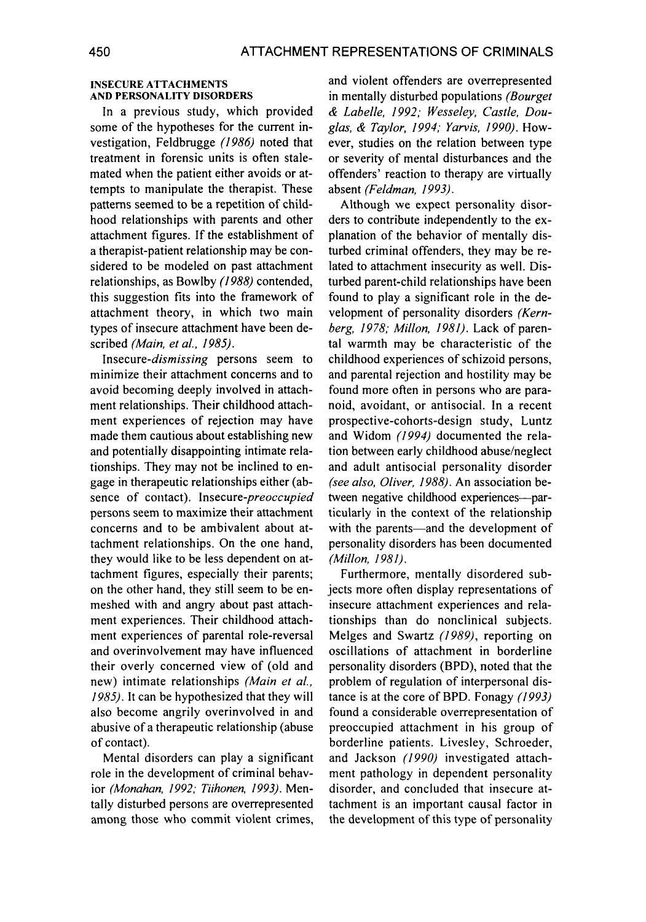#### **INSECURE ATTACHMENTS AND PERSONALITY DISORDERS**

In a previous study, which provided some of the hypotheses for the current investigation, Feldbrugge *(1986)* noted that treatment in forensic units is often stalemated when the patient either avoids or attempts to manipulate the therapist. These patterns seemed to be a repetition of childhood relationships with parents and other attachment figures. If the establishment of a therapist-patient relationship may be considered to be modeled on past attachment relationships, as Bowlby *(1988)* contended, this suggestion fits into the framework of attachment theory, in which two main types of insecure attachment have been described (Main, et al., *1985).* 

Insecure-dismissing persons seem to minimize their attachment concerns and to avoid becoming deeply involved in attachment relationships. Their childhood attachment experiences of rejection may have made them cautious about establishing new and potentially disappointing intimate relationships. They may not be inclined to engage in therapeutic relationships either (absence of contact). Insecure-preoccupied persons seem to maximize their attachment concerns and to be ambivalent about attachment relationships. On the one hand, they would like to be less dependent on attachment figures, especially their parents; on the other hand, they still seem to be enmeshed with and angry about past attachment experiences. Their childhood attachment experiences of parental role-reversal and overinvolvement may have influenced their overly concerned view of (old and new) intimate relationships (Main et al., *1985).* It can be hypothesized that they will also become angrily overinvolved in and abusive of a therapeutic relationship (abuse of contact).

Mental disorders can play a significant role in the development of criminal behavior (Monahan, *1992;* Tiihonen, *1993).* Mentally disturbed persons are overrepresented among those who commit violent crimes,

and violent offenders are overrepresented in mentally disturbed populations (Bourget & Labelle, *1992;* Wesseley, Castle, *Dou*glas, & Taylor, *1994;* Yarvis, *1990).* However, studies on the relation between type or severity of mental disturbances and the offenders' reaction to therapy are virtually absent (Feldman, *1993).* 

Although we expect personality disorders to contribute independently to the explanation of the behavior of mentally disturbed criminal offenders, they may be related to attachment insecurity as well. Disturbed parent-child relationships have been found to play a significant role in the development of personality disorders (Kernberg, *1978;* Millon, *1981).* Lack of parental warmth may be characteristic of the childhood experiences of schizoid persons, and parental rejection and hostility may be found more often in persons who are paranoid, avoidant, or antisocial. In a recent prospective-cohorts-design study, Luntz and Widom *(1994)* documented the relation between early childhood abuse/neglect and adult antisocial personality disorder (see *also,* Oliver, *1988).* An association between negative childhood experiences--particularly in the context of the relationship with the parents-and the development of personality disorders has been documented (Millon, *1981).* 

Furthermore, mentally disordered subjects more often display representations of insecure attachment experiences and relationships than do nonclinical subjects. Melges and Swartz *(1989),* reporting on oscillations of attachment in borderline personality disorders (BPD), noted that the problem of regulation of interpersonal distance is at the core of BPD. Fonagy *(1993)*  found a considerable overrepresentation of preoccupied attachment in his group of borderline patients. Livesley, Schroeder, and Jackson *(1990)* investigated attachment pathology in dependent personality disorder, and concluded that insecure attachment is an important causal factor in the development of this type of personality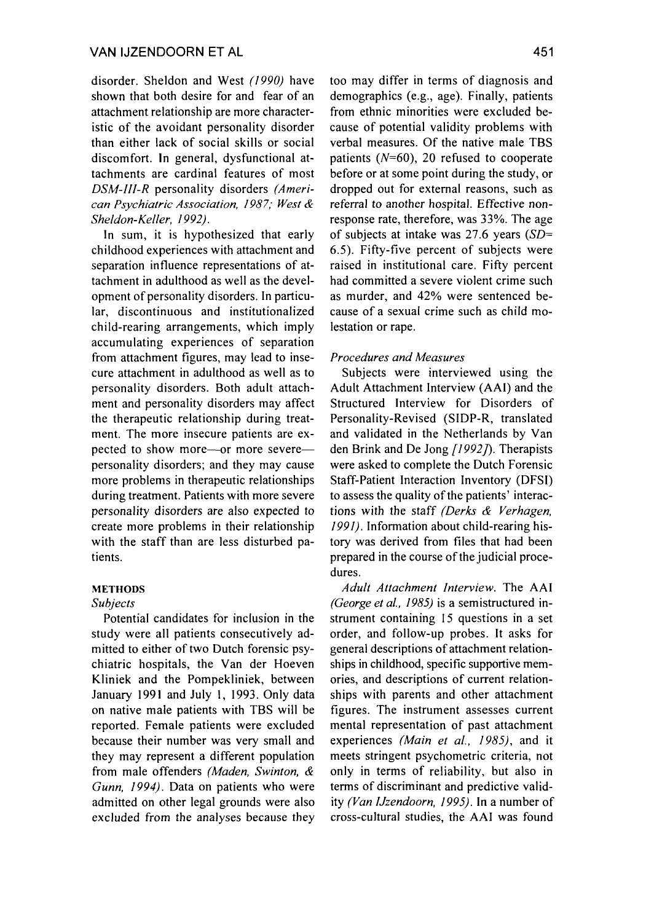disorder. Sheldon and West *(1990)* have shown that both desire for and fear of an attachment relationship are more characteristic of the avoidant personality disorder than either lack of social skills or social discomfort. In general, dysfunctional attachments are cardinal features of most *DSM-Ill-R* personality disorders *(American Psychiatric Association, 1987; West* & *Sheldon- Keller, 1992).* 

In sum, it is hypothesized that early childhood experiences with attachment and separation influence representations of attachment in adulthood as well as the development of personality disorders. In particular, discontinuous and institutionalized child-rearing arrangements, which imply accumulating experiences of separation from attachment figures, may lead to insecure attachment in adulthood as well as to personality disorders. Both adult attachment and personality disorders may affect the therapeutic relationship during treatment. The more insecure patients are expected to show more—or more severe personality disorders; and they may cause more problems in therapeutic relationships during treatment. Patients with more severe personality disorders are also expected *to*  create more problems in their relationship with the staff than are less disturbed patients.

## **METHODS**

#### *Subjects*

Potential candidates for inclusion in the study were all patients consecutively admitted to either of two Dutch forensic psychiatric hospitals, the Van der Hoeven Kliniek and the Pompekliniek, between January 1991 and July **1,** 1993. Only data on native male patients with TBS will be reported. Female patients were excluded because their number was very small and they may represent a different population from male offenders *(Maden, Swinton,* & *Gunn, 1994).* Data on patients who were admitted on other legal grounds were also excluded from the analyses because they too may differ in terms of diagnosis and demographics (e.g., age). Finally, patients from ethnic minorities were excluded because of potential validity problems with verbal measures. Of the native male TBS patients  $(N=60)$ , 20 refused to cooperate before or at some point during the study, or dropped out for external reasons, such as referral to another hospital. Effective nonresponse rate, therefore, was 33%. The age of subjects at intake was 27.6 years *(SD=*  6.5). Fifty-five percent of subjects were raised in institutional care. Fifty percent had committed a severe violent crime such as murder, and 42% were sentenced because of a sexual crime such as child molestation or rape.

## *Procedures and Measures*

Subjects were interviewed using the Adult Attachment Interview (AAI) and the Structured Interview for Disorders of Personality-Revised (SIDP-R, translated and validated in the Netherlands by Van den Brink and De Jong *[1992/).* Therapists were asked to complete the Dutch Forensic Staff-Patient Interaction Inventory (DFSI) to assess the quality of the patients' interactions with the staff *(Derks* & *Verhagen, 1991).* Information about child-rearing history was derived from files that had been prepared in the course of the judicial procedures.

*Adult Attachment Interview.* The AAI *(George et al., 1985)* is a semistructured instrument containing 15 questions in a set order, and follow-up probes. It asks for general descriptions of attachment relationships in childhood, specific supportive memories, and descriptions of current relationships with parents and other attachment figures. The instrument assesses current mental representation of past attachment experiences *(Main et al., 1985),* and it meets stringent psychometric criteria, not only in terms of reliability, but also in terms of discriminant and predictive validity *(Van IJzendoorn, 1995).* In a number of cross-cultural studies, the AAI was found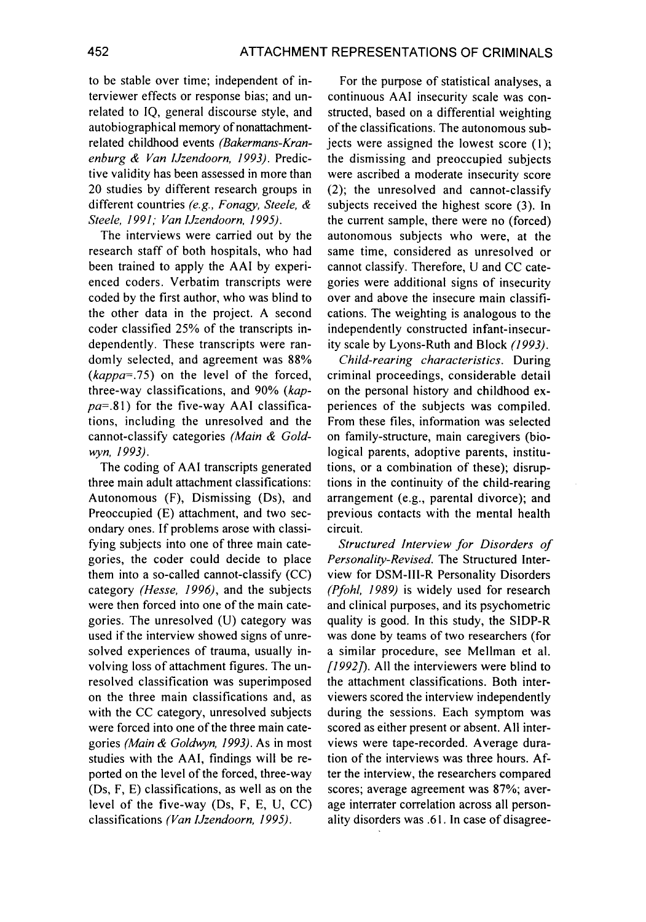to be stable over time; independent of interviewer effects or response bias; and unrelated to IQ, general discourse style, and autobiographical memory of nonattachmentrelated childhood events *(Bakermans-Kranenburg* & *Van IJzendoorn, 1993).* Predictive validity has been assessed in more than 20 studies by different research groups in different countries *(e.g., Fonagy, Steele,* & *Steele, 1991; Van IJzendoorn, 1995).* 

The interviews were carried out by the research staff of both hospitals, who had been trained to apply the AAI by experienced coders. Verbatim transcripts were coded by the first author, who was blind to the other data in the project. A second coder classified 25% of the transcripts independently. These transcripts were randomly selected, and agreement was 88% *(kappa=.75)* on the level of the forced, three-way classifications, and 90% *(kappa=.81)* for the five-way AAI classifications, including the unresolved and the cannot-classify categories *(Main* & *Goldyyn, 1993).* 

The coding of AAI transcripts generated three main adult attachment classifications: Autonomous (F), Dismissing (Ds), and Preoccupied (E) attachment, and two secondary ones. If problems arose with classifying subjects into one of three main categories, the coder could decide to place them into a so-called cannot-classify (CC) category (Hesse, 1996), and the subjects were then forced into one of the main categories. The unresolved (U) category was used if the interview showed signs of unresolved experiences of trauma, usually involving loss of attachment figures. The unresolved classification was superimposed on the three main classifications and, as with the CC category, unresolved subjects were forced into one of the three main categories *(Main* & *Goldnyn, 1993).* As in most studies with the AAI, findings will be reported on the level of the forced, three-way (Ds, F, **E)** classifications, as well as on the level of the five-way (Ds, **F,** E, U, CC) classifications (Van IJzendoorn, 1995).

For the purpose of statistical analyses, a continuous AAI insecurity scale was constructed, based on a differential weighting of the classifications. The autonomous subjects were assigned the lowest score (I); the dismissing and preoccupied subjects were ascribed a moderate insecurity score *(2);* the unresolved and cannot-classify subjects received the highest score **(3).** In the current sample, there were no (forced) autonomous subjects who were, at the same time, considered as unresolved or cannot classify. Therefore, U and CC categories were additional signs of insecurity over and above the insecure main classifications. The weighting is analogous to the independently constructed infant-insecurity scale by Lyons-Ruth and Block *(1993).* 

*Child-rearing characteristics.* During criminal proceedings, considerable detail on the personal history and childhood experiences of the subjects was compiled. From these files, information was selected on family-structure, main caregivers (biological parents, adoptive parents, institutions, or a combination of these); disruptions in the continuity of the child-rearing arrangement (e.g., parental divorce); and previous contacts with the mental health circuit.

*Structured Interview for Disorders of Personality-Revised.* The Structured Interview for DSM-Ill-R Personality Disorders *(Pfohl, 1989)* is widely used for research and clinical purposes, and its psychometric quality is good. In this study, the SIDP-R was done by teams of two researchers (for a similar procedure, see Mellman et al. *[1992J).* All the interviewers were blind to the attachment classifications. Both interviewers scored the interview independently during the sessions. Each symptom was scored as either present or absent. All interviews were tape-recorded. Average duration of the interviews was three hours. After the interview, the researchers compared scores; average agreement was **87%;** average interrater correlation across all personality disorders was **.61.** In case of disagree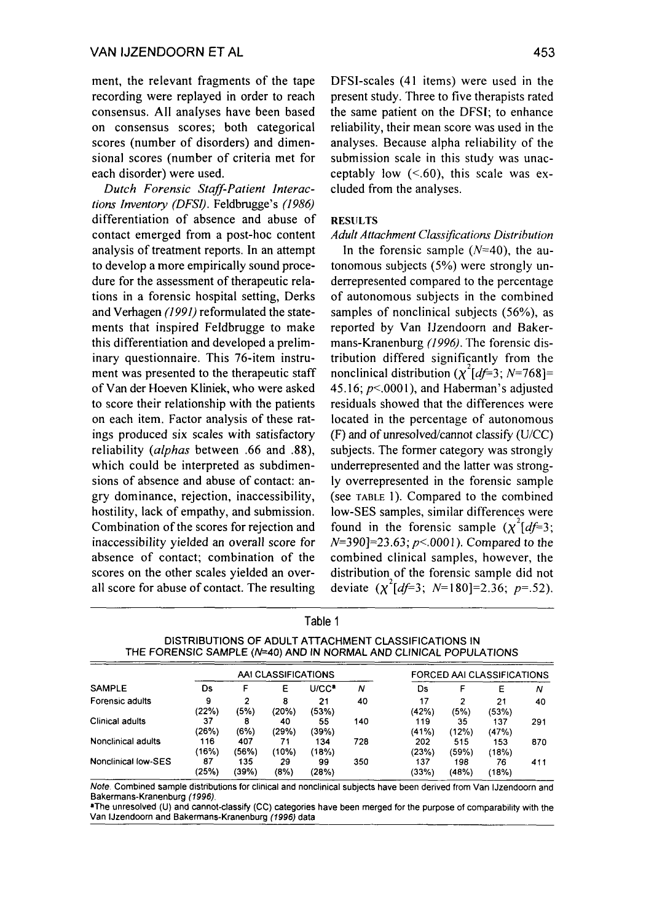ment, the relevant fragments of the tape recording were replayed in order to reach consensus. **All** analyses have been based on consensus scores; both categorical scores (number of disorders) and dimensional scores (number of criteria met for each disorder) were used.

*Dutch Forensic Staff-Patient Interactions Inventory (DFSr).* Feldbrugge's *(1986)*  differentiation of absence and abuse of contact emerged from a post-hoc content analysis of treatment reports. In an attempt to develop a more empirically sound procedure for the assessment of therapeutic relations in a forensic hospital setting, Derks and Verhagen *(1991)* reformulated the statements that inspired Feldbrugge to make this differentiation and developed a preliminary questionnaire. This 76-item instrument was presented to the therapeutic staff of Van der Hoeven Kliniek, who were asked to score their relationship with the patients on each item. Factor analysis of these ratings produced six scales with satisfactory reliability *(alphas* between .66 and .88), which could be interpreted as subdimensions of absence and abuse of contact: angry dominance, rejection, inaccessibility, hostility, lack of empathy, and submission. Combination of the scores for rejection and inaccessibility yielded an overall score for absence of contact; combination of the scores on the other scales yielded an overall score for abuse of contact. The resulting

DFSI-scales (41 items) were used in the present study. Three to five therapists rated the same patient on the DFSI; to enhance reliability, their mean score was used in the analyses. Because alpha reliability of the submission scale in this study was unacceptably low  $(<.60)$ , this scale was excluded from the analyses.

## **RESULTS**

*Adult Attachment Classifications Distribution* 

In the forensic sample  $(N=40)$ , the autonomous subjects *(5%)* were strongly underrepresented compared to the percentage of autonomous subjects in the combined samples of nonclinical subjects (56%), as reported by Van IJzendoorn and Bakermans-Kranenburg *(1996).* The forensic distribution differed significantly from the nonclinical distribution ( $\chi^2[d=3; N=768]$ = 45.16;  $p<.0001$ ), and Haberman's adjusted residuals showed that the differences were located in the percentage of autonomous  $(F)$  and of unresolved/cannot classify (U/CC) subjects. The former category was strongly underrepresented and the latter was strongly overrepresented in the forensic sample (see **TABLE** I). Compared to the combined low-SES samples, similar differences were found in the forensic sample  $(\chi^2[df=3))$ *N=390]=23.63; p<.OOOl).* Compared to the combined clinical samples, however, the distribution of the forensic sample did not deviate  $(\chi^2[df=3; N=180] = 2.36; p=.52)$ .

| DISTRIBUTIONS OF ADULT ATTACHMENT CLASSIFICATIONS IN              |
|-------------------------------------------------------------------|
| THE FORENSIC SAMPLE (N=40) AND IN NORMAL AND CLINICAL POPULATIONS |

|                     |              |              | AAI CLASSIFICATIONS |                   |     | FORCED AAI CLASSIFICATIONS |              |              |     |  |  |  |
|---------------------|--------------|--------------|---------------------|-------------------|-----|----------------------------|--------------|--------------|-----|--|--|--|
| <b>SAMPLE</b>       | Ds           |              | Е                   | U/CC <sup>a</sup> | Ν   | Ds                         | F            | E            | N   |  |  |  |
| Forensic adults     | 9<br>(22%)   | (5%)         | 8<br>(20%)          | 21<br>(53%)       | 40  | 17<br>(42%)                | 2<br>(5%)    | 21<br>(53%)  | 40  |  |  |  |
| Clinical adults     | 37<br>(26%)  | 8<br>(6%)    | 40<br>(29%)         | 55<br>(39%)       | 140 | 119<br>(41%)               | 35<br>(12%)  | 137<br>(47%) | 291 |  |  |  |
| Nonclinical adults  | 116<br>(16%) | 407<br>(56%) | 71<br>(10%)         | 134<br>(18%)      | 728 | 202<br>(23%)               | 515<br>(59%) | 153<br>(18%) | 870 |  |  |  |
| Nonclinical low-SES | 87<br>(25%)  | 135<br>39%)  | 29<br>(8%)          | 99<br>(28%)       | 350 | 137<br>(33%)               | 198<br>(48%) | 76<br>(18%)  | 411 |  |  |  |

Note Combined sample distributions for clinical and nonclinical Subjects have been derived from Van IJzendoorn and Bakermans-Kranenburg *(1996)* 

**'The** unresolved (U) and cannot-classify (CC) categories have been merged for the purpose of comparability with the Van IJzendoorn and Bakermans-Kranenburo *11996)* data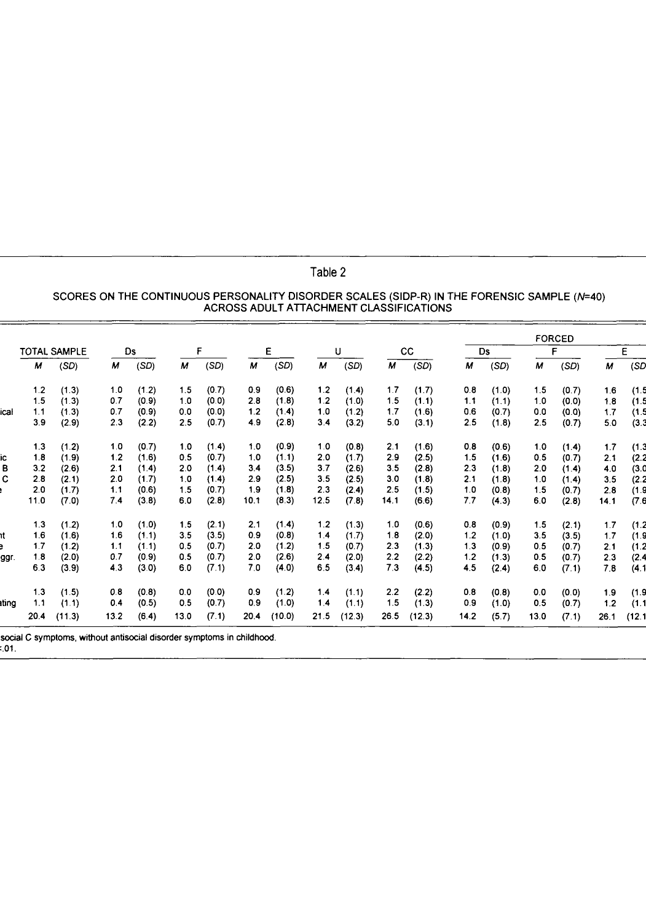## Table 2

## **SCORES ON THE CONTINUOUS PERSONALITY DISORDER SCALES (SIDP-R) IN THE FORENSIC SAMPLE (W40) ACROSS ADULT ATTACHMENT CLASS I** Fl **CAT1 ONS**

|       |      |                     |      |       |      |       |      |        |      |        |           |        | <b>FORCED</b> |       |      |       |       |        |  |
|-------|------|---------------------|------|-------|------|-------|------|--------|------|--------|-----------|--------|---------------|-------|------|-------|-------|--------|--|
|       |      | <b>TOTAL SAMPLE</b> | Ds   |       | F    |       | Е    |        | U    |        | <b>CC</b> |        | Ds            |       | F    |       |       | E.     |  |
|       | М    | (SD)                | м    | (SD)  | м    | (SD)  | М    | (SD)   | М    | (SD)   | м         | (SD)   | М             | (SD)  | м    | (SD)  | М     | (SD    |  |
|       | 1.2  | (1.3)               | 1.0  | (1.2) | 1.5  | (0.7) | 0.9  | (0.6)  | 1.2  | (1.4)  | 1.7       | (1.7)  | 0.8           | (1.0) | 1.5  | (0.7) | 1.6   | (1.5)  |  |
|       | 1.5  | (1.3)               | 0.7  | (0.9) | 1.0  | (0.0) | 2.8  | (1.8)  | 1.2  | (1.0)  | 1.5       | (1.1)  | 1.1           | (1.1) | 1.0  | (0.0) | 1.8   | (1.5)  |  |
| ical  | 1.1  | (1.3)               | 0.7  | (0.9) | 0.0  | (0.0) | 1.2  | (1.4)  | 1.0  | (1.2)  | 1.7       | (1.6)  | 0.6           | (0.7) | 0.0  | (0.0) | 1.7   | (1.5)  |  |
|       | 3.9  | (2.9)               | 2.3  | (2.2) | 2.5  | (0.7) | 4.9  | (2.8)  | 3.4  | (3.2)  | 5.0       | (3.1)  | 2.5           | (1.8) | 2.5  | (0.7) | 5.0   | (3.3)  |  |
|       | 1.3  | (1.2)               | 1.0  | (0.7) | 1.0  | (1.4) | 1.0  | (0.9)  | 1.0  | (0.8)  | 2.1       | (1.6)  | 0.8           | (0.6) | 1.0  | (1.4) | 1.7   | (1.3)  |  |
| ic    | 1.8  | (1.9)               | 1.2  | (1.6) | 0.5  | (0.7) | 1.0  | (1.1)  | 2.0  | (1.7)  | 2.9       | (2.5)  | 1.5           | (1.6) | 0.5  | (0.7) | 2.1   | (2.2)  |  |
| в     | 3.2  | (2.6)               | 2.1  | (1.4) | 2.0  | (1.4) | 3.4  | (3.5)  | 3.7  | (2.6)  | 3.5       | (2.8)  | 2.3           | (1.8) | 2.0  | (1.4) | 4.0   | (3.0)  |  |
| Ċ     | 2.8  | (2.1)               | 2.0  | (1.7) | 1.0  | (1.4) | 2.9  | (2.5)  | 3.5  | (2.5)  | 3.0       | (1.8)  | 2.1           | (1.8) | 1.0  | (1.4) | 3.5   | (2.2)  |  |
|       | 2.0  | (1.7)               | 1.1  | (0.6) | 1.5  | (0.7) | 1.9  | (1.8)  | 2.3  | (2.4)  | 2.5       | (1.5)  | 1.0           | (0.8) | 1.5  | (0.7) | 2.8   | (1.9)  |  |
|       | 11.0 | (7.0)               | 7.4  | (3.8) | 6.0  | (2.8) | 10.1 | (8.3)  | 12.5 | (7.8)  | 14.1      | (6.6)  | 7.7           | (4.3) | 6.0  | (2.8) | 14.1  | (7.6)  |  |
|       | 1.3  | (1.2)               | 1.0  | (1.0) | 1.5  | (2.1) | 2.1  | (1.4)  | 1.2  | (1.3)  | 1.0       | (0.6)  | 0.8           | (0.9) | 1.5  | (2.1) | 1.7   | (1.2)  |  |
|       | 1.6  | (1.6)               | 1.6  | (1.1) | 3.5  | (3.5) | 0.9  | (0.8)  | 1.4  | (1.7)  | 1.8       | (2.0)  | 1.2           | (1.0) | 3.5  | (3.5) | 1.7   | (1.9)  |  |
|       | 1.7  | (1.2)               | 1.1  | (1.1) | 0.5  | (0.7) | 2.0  | (1.2)  | 1.5  | (0.7)  | 2.3       | (1.3)  | 1.3           | (0.9) | 0.5  | (0.7) | 2.1   | (1.2)  |  |
| ggr.  | 1.8  | (2.0)               | 0.7  | (0.9) | 0.5  | (0.7) | 2.0  | (2.6)  | 2.4  | (2.0)  | 2.2       | (2.2)  | 1.2           | (1.3) | 0.5  | (0.7) | 2.3   | (2.4)  |  |
|       | 6.3  | (3.9)               | 4.3  | (3.0) | 6.0  | (7.1) | 7.0  | (4.0)  | 6.5  | (3.4)  | 7.3       | (4.5)  | 4.5           | (2.4) | 6.0  | (7.1) | 7.8   | (4.1)  |  |
|       | 1.3  | (1.5)               | 0.8  | (0.8) | 0.0  | (0.0) | 0.9  | (1.2)  | 1.4  | (1.1)  | 2.2       | (2.2)  | 0.8           | (0.8) | 0,0  | (0.0) | 1.9   | (1.9)  |  |
| ating | 1.1  | (1.1)               | 0.4  | (0.5) | 0.5  | (0.7) | 0.9  | (1.0)  | 1.4  | (1.1)  | 1.5       | (1.3)  | 0.9           | (1.0) | 0.5  | (0.7) | $1.2$ | (1.1)  |  |
|       | 20.4 | (11.3)              | 13.2 | (6.4) | 13.0 | (7.1) | 20.4 | (10.0) | 21.5 | (12.3) | 26.5      | (12.3) | 14.2          | (5.7) | 13.0 | (7.1) | 26.1  | (12.1) |  |

*'p<.05;* **"p<.Ol.**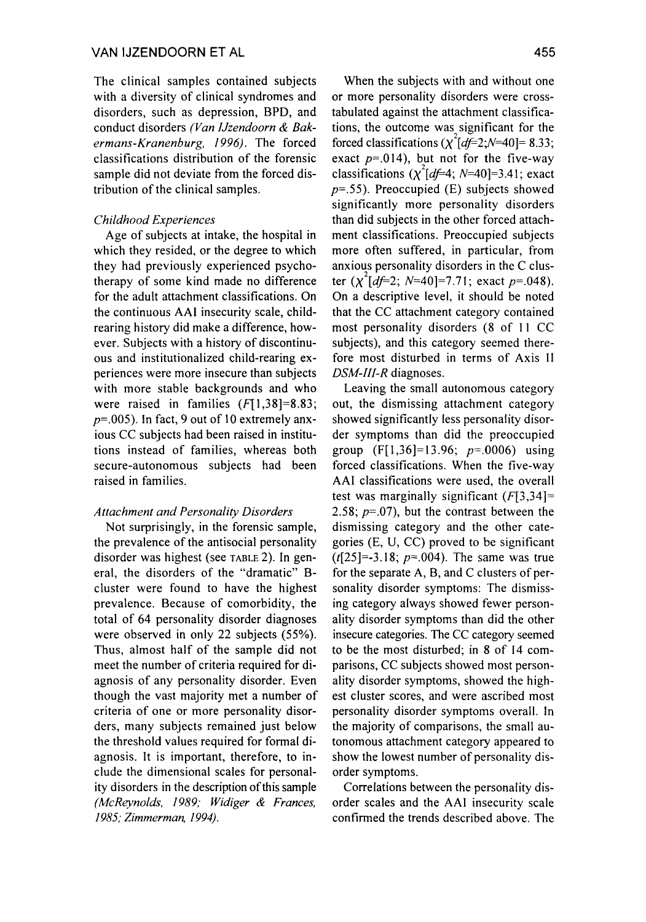The clinical samples contained subjects with a diversity of clinical syndromes and disorders, such as depression, BPD, and conduct disorders *(Van IJzendoorn* & *Bakermans-Kranenburg, 1996).* The forced classifications distribution of the forensic sample did not deviate from the forced distribution of the clinical samples.

## *Childhood Experiences*

Age of subjects at intake, the hospital in which they resided, or the degree to which they had previously experienced psychotherapy of some kind made no difference for the adult attachment classifications. On the continuous AAI insecurity scale, childrearing history did make a difference, however. Subjects with a history of discontinuous and institutionalized child-rearing experiences were more insecure than subjects with more stable backgrounds and who were raised in families *(F[ 1,38]=8.83; p=.005).* In fact, 9 out of 10 extremely anxious CC subjects had been raised in institutions instead of families, whereas both secure-autonomous subjects had been raised in families.

## *Attachment and Personality Disorders*

Not surprisingly, in the forensic sample, the prevalence of the antisocial personality disorder was highest (see **TABLE** *2).* In general, the disorders of the "dramatic" Bcluster were found to have the highest prevalence. Because of comorbidity, the total of *64* personality disorder diagnoses were observed in only *22* subjects *(55%).*  Thus, almost half of the sample did not meet the number of criteria required for diagnosis of any personality disorder. Even though the vast majority met a number of criteria of one or more personality disorders, many subjects remained just below the threshold values required for formal diagnosis. It is important, therefore, to include the dimensional scales for personality disorders in the description of this sample *(McReynolds, 1989; Widiger & Frances, 1985; Zimmerman, 1994).* 

When the subjects with and without one or more personality disorders were crosstabulated against the attachment classifications, the outcome was significant for the forced classifications  $(\chi^2[df=2;N=40] = 8.33;$ exact  $p=014$ ), but not for the five-way classifications  $(\chi^2[df=4; N=40] = 3.41;$  exact *p=.55).* Preoccupied (E) subjects showed significantly more personality disorders than did subjects in the other forced attachment classifications. Preoccupied subjects more often suffered, in particular, from anxious personality disorders in the C cluster  $(\chi^2[d=2; N=40] = 7.71$ ; exact  $p=0.048$ ). On a descriptive level, it should be noted that the CC attachment category contained most personality disorders *(8* of 11 CC subjects), and this category seemed therefore most disturbed in terms of Axis II *DSM-III-R* diagnoses.

Leaving the small autonomous category out, the dismissing attachment category showed significantly less personality disorder symptoms than did the preoccupied group (F[I *,36]=13.96; p=.0006)* using forced classifications. When the five-way AAI classifications were used, the overall test was marginally significant *(F[3,34]= 2.58; p=.07),* but the contrast between the dismissing category and the other categories (E, U, CC) proved to be significant *(t[25]=-3.18; p=.004).* The same was true for the separate A, B, and C clusters of personality disorder symptoms: The dismissing category always showed fewer personality disorder symptoms than did the other insecure categories. The CC category seemed to be the most disturbed; in *8* of *14* comparisons, CC subjects showed most personality disorder symptoms, showed the highest cluster scores, and were ascribed most personality disorder symptoms overall. In the majority of comparisons, the small autonomous attachment category appeared to show the lowest number of personality disorder symptoms.

Correlations between the personality disorder scales and the **AAI** insecurity scale confirmed the trends described above. The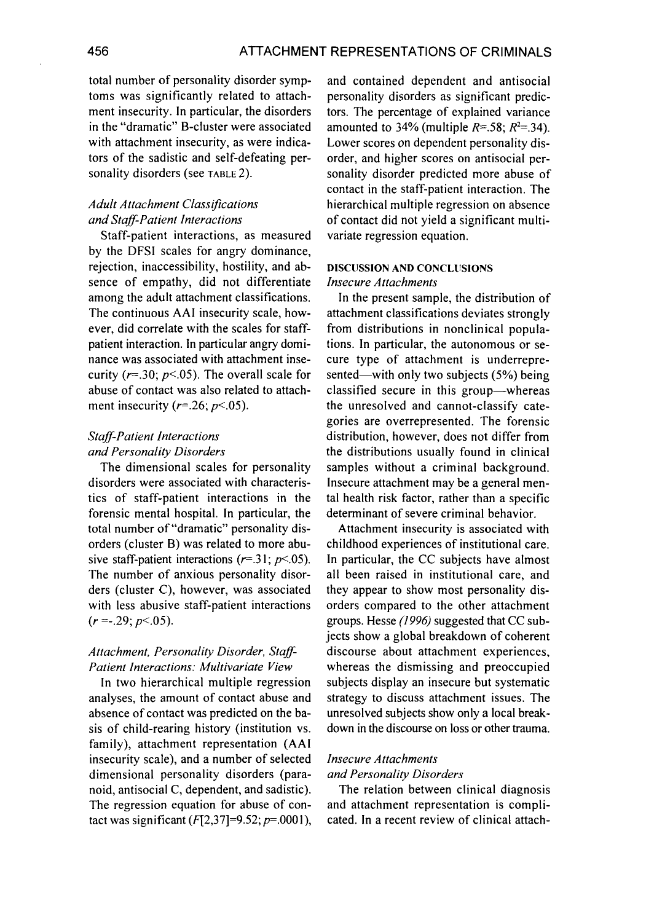total number of personality disorder symptoms was significantly related to attachment insecurity. In particular, the disorders in the "dramatic" B-cluster were associated with attachment insecurity, as were indicators of the sadistic and self-defeating personality disorders (see **TABLE** 2).

## *Adult Attachment Classlfications and Staff-Patient Interactions*

Staff-patient interactions, as measured by the DFSI scales for angry dominance, rejection, inaccessibility, hostility, and absence of empathy, did not differentiate among the adult attachment classifications. The continuous AAI insecurity scale, however, did correlate with the scales for staffpatient interaction. In particular angry dominance was associated with attachment insecurity *(r=.30; p<.05).* The overall scale for abuse of contact was also related to attachment insecurity *(r=.26; p<.05).* 

## *Staff-Patient Interactions and Personality Disorders*

The dimensional scales for personality disorders were associated with characteristics of staff-patient interactions in the forensic mental hospital. In particular, the total number of "dramatic" personality disorders (cluster B) was related to more abusive staff-patient interactions  $(r=31; p<.05)$ . The number of anxious personality disorders (cluster C), however, was associated with less abusive staff-patient interactions *(r =-.29; p<.05).* 

## Attachment, Personality Disorder, Staff-*Patient Interactions: Multivariate View*

In two hierarchical multiple regression analyses, the amount of contact abuse and absence of contact was predicted on the basis of child-rearing history (institution vs. family), attachment representation (AAI insecurity scale), and a number of selected dimensional personality disorders (paranoid, antisocial C, dependent, and sadistic). The regression equation for abuse of contact was significant *(fl2,37]=9.52; p=.OOOl),* 

and contained dependent and antisocial personality disorders as significant predictors. The percentage of explained variance amounted to 34% (multiple  $R = .58$ ;  $R^2 = .34$ ). Lower scores on dependent personality disorder, and higher scores on antisocial personality disorder predicted more abuse of contact in the staff-patient interaction. The hierarchical multiple regression on absence of contact did not yield a significant multivariate regression equation.

## **DISCIISSION AND CONCLUSIONS**  *Insecure Attachments*

In the present sample, the distribution of attachment classifications deviates strongly from distributions in nonclinical populations. In particular, the autonomous or secure type of attachment is underrepresented-with only two subjects *(5%)* being classified secure in this group-whereas the unresolved and cannot-classify categories are overrepresented. The forensic distribution, however, does not differ from the distributions usually found in clinical samples without a criminal background. Insecure attachment may be a general mental health risk factor, rather than a specific determinant of severe criminal behavior.

Attachment insecurity is associated with childhood experiences of institutional care. In particular, the CC subjects have almost all been raised in institutional care, and they appear to show most personality disorders compared to the other attachment groups. Hesse *(1996)* suggested that *CC* subjects show a global breakdown of coherent discourse about attachment experiences, whereas the dismissing and preoccupied subjects display an insecure but systematic strategy to discuss attachment issues. The unresolved subjects show only a local breakdown in the discourse on loss or other trauma.

## *Insecure Attachments and Personality Disorders*

The relation between clinical diagnosis and attachment representation is complicated. In a recent review of clinical attach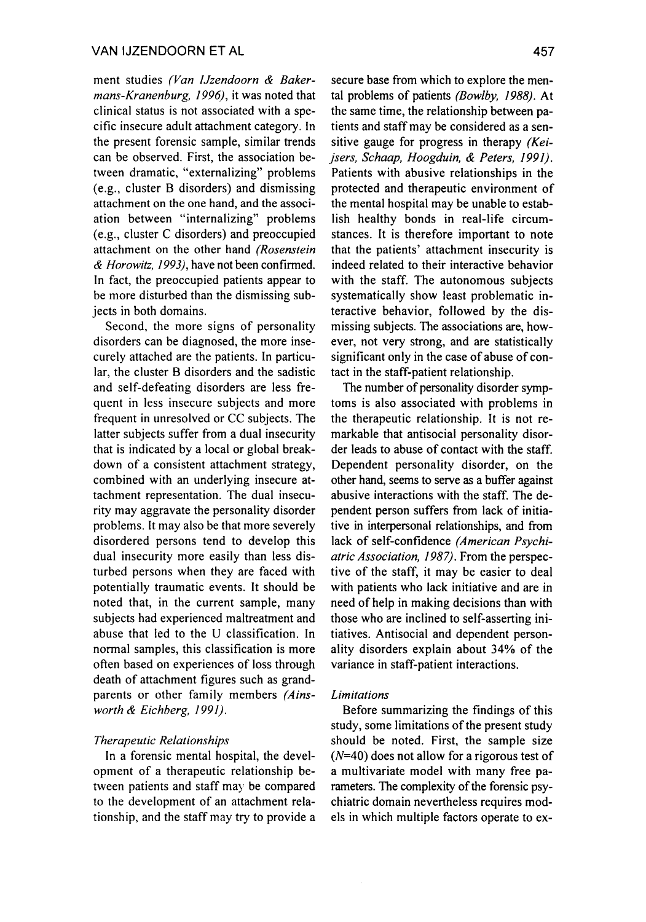ment studies *(Van IJzendoorn* & *Bakermans-Kranenburg, 1996),* it was noted that clinical status is not associated with a specific insecure adult attachment category. In the present forensic sample, similar trends can be observed. First, the association between dramatic, "externalizing" problems (e.g., cluster B disorders) and dismissing attachment on the one hand, and the association between "internalizing" problems (e.g., cluster C disorders) and preoccupied attachment on the other hand *(Rosenstein*  & *Horowitz, 1993),* have not been confirmed. In fact, the preoccupied patients appear to be more disturbed than the dismissing subjects in both domains.

Second, the more signs of personality disorders can be diagnosed, the more insecurely attached are the patients. In particular, the cluster B disorders and the sadistic and self-defeating disorders are less frequent in less insecure subjects and more frequent in unresolved or CC subjects. The latter subjects suffer from a dual insecurity that is indicated by a local or global breakdown of a consistent attachment strategy, combined with an underlying insecure attachment representation. The dual insecurity may aggravate the personality disorder problems. It may also be that more severely disordered persons tend to develop this dual insecurity more easily than less disturbed persons when they are faced with potentially traumatic events. It should be noted that, in the current sample, many subjects had experienced maltreatment and abuse that led to the U classification. In normal samples, this classification is more often based on experiences of loss through death of attachment figures such as grandparents or other family members *(Ainsworth* & *Eichberg, 1991).* 

## *Therapeutic Relationships*

In a forensic mental hospital, the development of a therapeutic relationship between patients and staff may be compared to the development of an attachment relationship, and the staff may try to provide a

secure base from which to explore the mental problems of patients *(Bowlby, 1988).* At the same time, the relationship between patients and staff may be considered as a sensitive gauge for progress in therapy *(Keijsers, Schaap, Hoogduin,* & *Peters, 1991).*  Patients with abusive relationships in the protected and therapeutic environment of the mental hospital may be unable to establish healthy bonds in real-life circumstances. It is therefore important to note that the patients' attachment insecurity is indeed related to their interactive behavior with the staff. The autonomous subjects systematically show least problematic interactive behavior, followed by the dismissing subjects. The associations are, however, not very strong, and are statistically significant only in the case of abuse of contact in the staff-patient relationship.

The number of personality disorder symptoms is also associated with problems in the therapeutic relationship. It is not remarkable that antisocial personality disorder leads to abuse of contact with the staff. Dependent personality disorder, on the other hand, seems to serve **as** a buffer against abusive interactions with the staff, The dependent person suffers from lack of initiative in interpersonal relationships, and from lack of self-confidence *(American Psychiatric Association, 1987).* From the perspective of the staff, it may be easier to deal with patients who lack initiative and are in need of help in making decisions than with those who are inclined to self-asserting initiatives. Antisocial and dependent personality disorders explain about **34%** of the variance in staff-patient interactions.

#### *Limitations*

Before summarizing the findings of this study, some limitations of the present study should be noted. First, the sample size **(N=40)** does not allow for a rigorous test of a multivariate model with many free parameters. The complexity of **the** forensic psychiatric domain nevertheless requires models in which multiple factors operate to ex-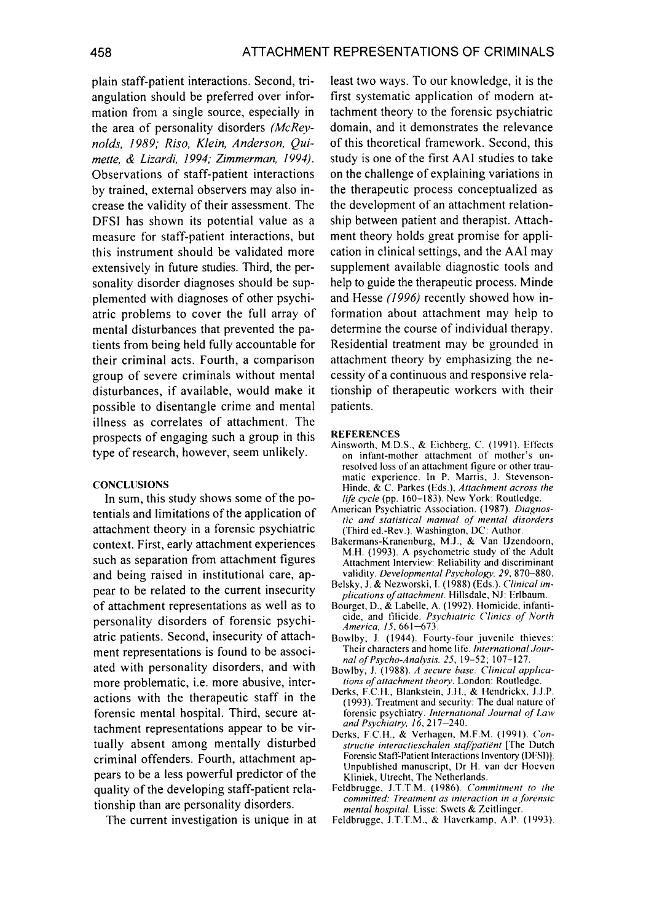plain staff-patient interactions. Second, triangulation should be preferred over information from a single source, especially in the area of personality disorders *(McReynolds, 1989; Riso, Klein, Anderson, Quimette,* & *Lizardi, 1994; Zimmerman, 1994).*  Observations of staff-patient interactions by trained, external observers may also increase the validity of their assessment. The DFSl has shown its potential value as a measure for staff-patient interactions, but this instrument should be validated more extensively in future studies. Third, the personality disorder diagnoses should be supplemented with diagnoses of other psychiatric problems to cover the full array of mental disturbances that prevented the patients from being held fully accountable for their criminal acts. Fourth, a comparison group of severe criminals without mental disturbances, if available, would make it possible to disentangle crime and mental illness as correlates of attachment. The prospects of engaging such a group in this type of research, however, seem unlikely.

#### **CONCLUSIONS**

In sum, this study shows some of the potentials and limitations of the application of attachment theory in a forensic psychiatric context. First, early attachment experiences such as separation from attachment figures and being raised in institutional care, appear to be related to the current insecurity of attachment representations as well as to personality disorders of forensic psychiatric patients. Second, insecurity of attachment representations is found to be associated with personality disorders, and with more problematic, i.e. more abusive, interactions with the therapeutic staff in the forensic mental hospital. Third, secure attachment representations appear to be virtually absent among mentally disturbed criminal offenders. Fourth, attachment appears to be a less powerful predictor of the quality of the developing staff-patient relationship than are personality disorders.

The current investigation is unique in at

least two ways. To our knowledge, it is the first systematic application of modem attachment theory to the forensic psychiatric domain, and it demonstrates the relevance of this theoretical framework. Second, this study is one of the first AAI studies to take on the challenge of explaining variations in the therapeutic process conceptualized as the development of an attachment relationship between patient and therapist. Attachment theory holds great promise for application in clinical settings, and the AAI may supplement available diagnostic tools and help to guide the therapeutic process. Minde and Hesse *(1996)* recently showed how information about attachment may help to determine the course of individual therapy. Residential treatment may be grounded in attachment theory by emphasizing the necessity of a continuous and responsive relationship of therapeutic workers with their patients.

#### **REFERENCES**

- Ainsworth. M.D.S.. & Eichberg, C. **(1991).** Effects on infant-mother attachment of mother's unresolved loss of an attachment figure or other traumatic experience. In P. Marris, **J.** Stevenson-Hinde, & C. Parkes (Eds.), *Attachment across the lfe cycle* (pp. 160-183). New York: Routledge.
- American Psychiatric Association. (1987). Diagnos*tic and statistrcal manual of mental disorders*  (Third ed.-Rev.). Washington, DC: Author.
- Bakermans-Kranenburg, M.J.. & Van IJzendoorn, M.H. (1993). A psychometric study of the Adult Attachment Interview: Reliability and discriminant validity. *Developmental Psychology 29,* 870-880.
- Delsky, J. & Nezworski, **I.** (1988) (Eds.). *Clinical rmplications ofattachment.* Hillsdale, NJ: Erlbaum.
- Bourget, D., & Labelle, A. (1992). Homicide. infanticide, and tilicide. *Psychiatric Clinics of North America, 15, 661–673.*
- Bowlby, J. (1944). Fourty-four juvenile thieves: Their characters and home life. *International Joiir*nal of Psycho-Analysis, 25, 19-52; 107-127.
- Bowlby, J. (1988). A *secure base: Clinical applications ofattachment theory.* London: Routledge.
- Derks, F.C.H., Blankstein, J.11, & Hendrickx, J.J.P. **(1993).** Treatment and security: **The** dual nature of forensic psychiatry. *International Journal of Law*<br>and Psychiatry, 16, 217–240.
- Derks, F.C.H.. & Verhagen, M.F.M. (1991). *('onstrrictie interactreschalen staf/pati@nt* [The Dutch Forensic Staff-Patient Interactions Inventory **(DFSI)].**  Unpublished manuscript, Dr **H.** van dcr Hoeven Kliniek, Utrecht, The Netherlands.
- Feldbrugge. J.T.T.M. (1986) *Commitmenf to the committed: Treatment as interaction in a,forensic mental hospital.* Lisse: Swcts & Zeitlinger.
- Feldbrugge, J.T.T.M., & Haverkamp, A.P. (1993).